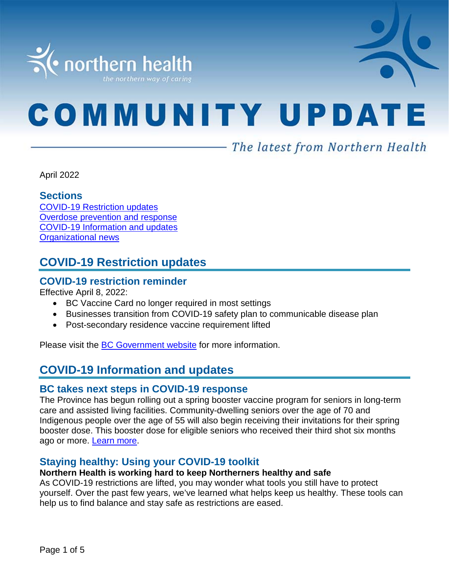

# **COMMUNITY UPDATE**

# – The latest from Northern Health

April 2022

#### **Sections**

COVID-19 [Restriction updates](#page-0-0) [Overdose prevention and response](#page-0-1) [COVID-19 Information and updates](#page-0-1) [Organizational news](#page-3-0)

## <span id="page-0-0"></span>**COVID-19 Restriction updates**

#### **COVID-19 restriction reminder**

Effective April 8, 2022:

- BC Vaccine Card no longer required in most settings
- Businesses transition from COVID-19 safety plan to communicable disease plan
- Post-secondary residence vaccine requirement lifted

<span id="page-0-1"></span>Please visit the [BC Government website](https://www2.gov.bc.ca/gov/content/covid-19/info/restrictions) for more information.

# **COVID-19 Information and updates**

#### **BC takes next steps in COVID-19 response**

The Province has begun rolling out a spring booster vaccine program for seniors in long-term care and assisted living facilities. Community-dwelling seniors over the age of 70 and Indigenous people over the age of 55 will also begin receiving their invitations for their spring booster dose. This booster dose for eligible seniors who received their third shot six months ago or more. [Learn more.](https://pm-analytics.northernhealth.ca/PoliteMail/default.aspx?page=9rJmd-aWK0GZCaDjtMfiEA&ref_id=E6iujsKSAEWysdhQ6XOBWA)

#### **Staying healthy: Using your COVID-19 toolkit**

#### **Northern Health is working hard to keep Northerners healthy and safe**

As COVID-19 restrictions are lifted, you may wonder what tools you still have to protect yourself. Over the past few years, we've learned what helps keep us healthy. These tools can help us to find balance and stay safe as restrictions are eased.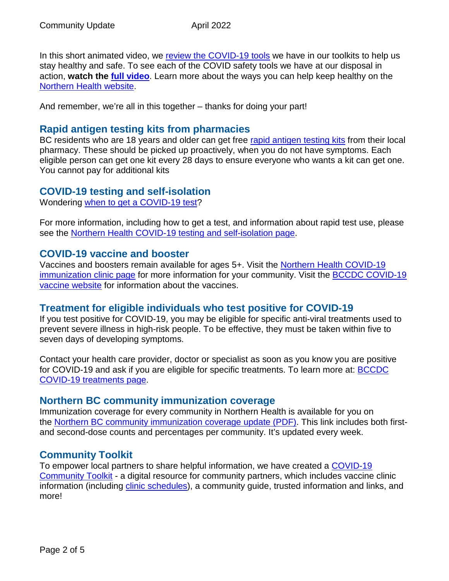In this short animated video, we [review the COVID-19 tools](https://stories.northernhealth.ca/stories/staying-healthy-using-your-covid-19-toolkit) we have in our toolkits to help us stay healthy and safe. To see each of the COVID safety tools we have at our disposal in action, **watch the [full video](https://youtu.be/Ha_vu2F02ig)**. Learn more about the ways you can help keep healthy on the [Northern Health website.](https://www.northernhealth.ca/)

And remember, we're all in this together – thanks for doing your part!

#### **Rapid antigen testing kits from pharmacies**

BC residents who are 18 years and older can get free [rapid antigen testing kits](https://pm-analytics.northernhealth.ca/PoliteMail/default.aspx?page=5EXCrKBBXEGyHQYdS2zMlQ&ref_id=wmBOnpcxzkGUGLrZjy6KVA) from their local pharmacy. These should be picked up proactively, when you do not have symptoms. Each eligible person can get one kit every 28 days to ensure everyone who wants a kit can get one. You cannot pay for additional kits

#### **COVID-19 testing and self-isolation**

Wondering [when to get a COVID-19 test?](https://bc.thrive.health/)

For more information, including how to get a test, and information about rapid test use, please see the [Northern Health COVID-19 testing and self-isolation page.](https://www.northernhealth.ca/health-topics/covid-19-testing-and-self-isolation)

#### **COVID-19 vaccine and booster**

Vaccines and boosters remain available for ages 5+. Visit the [Northern Health COVID-19](https://www.northernhealth.ca/health-topics/covid-19-immunization-clinics)  [immunization clinic page](https://www.northernhealth.ca/health-topics/covid-19-immunization-clinics) for more information for your community. Visit the **BCCDC COVID-19** [vaccine website](http://www.bccdc.ca/health-info/diseases-conditions/covid-19/covid-19-vaccine) for information about the vaccines.

#### **Treatment for eligible individuals who test positive for COVID-19**

If you test positive for COVID-19, you may be eligible for specific anti-viral treatments used to prevent severe illness in high-risk people. To be effective, they must be taken within five to seven days of developing symptoms.

Contact your health care provider, doctor or specialist as soon as you know you are positive for COVID-19 and ask if you are eligible for specific treatments. To learn more at: **BCCDC** [COVID-19 treatments page.](http://www.bccdc.ca/health-info/diseases-conditions/covid-19/about-covid-19/treatments)

#### **Northern BC community immunization coverage**

Immunization coverage for every community in Northern Health is available for you on the [Northern BC community immunization coverage update](https://www.northernhealth.ca/sites/northern_health/files/health-information/health-topics/vaccine/documents/northern-bc-immunization-coverage.pdf) (PDF). This link includes both firstand second-dose counts and percentages per community. It's updated every week.

#### **Community Toolkit**

To empower local partners to share helpful information, we have created a [COVID-19](https://www.northernhealth.ca/health-topics/covid-19-vaccine-plan/covid-19-community-toolkit)  [Community Toolkit](https://www.northernhealth.ca/health-topics/covid-19-vaccine-plan/covid-19-community-toolkit) - a digital resource for community partners, which includes vaccine clinic information (including [clinic schedules\)](https://www.northernhealth.ca/health-topics/covid-19-immunization-clinics), a community guide, trusted information and links, and more!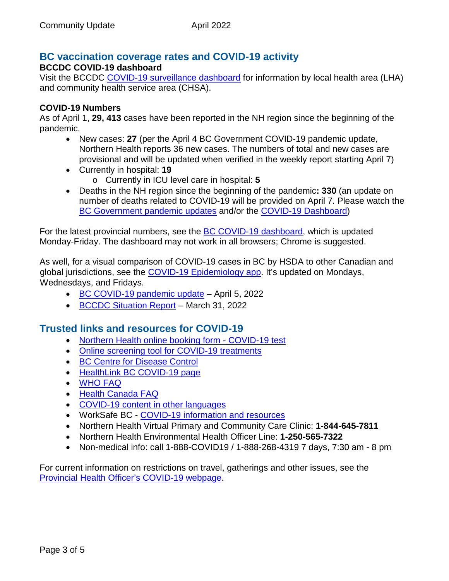# **BC vaccination coverage rates and COVID-19 activity**

#### **BCCDC COVID-19 dashboard**

Visit the BCCDC [COVID-19 surveillance dashboard](https://public.tableau.com/app/profile/bccdc/viz/BCCDCCOVID-19SurveillanceDashboard/Introduction) for information by local health area (LHA) and community health service area (CHSA).

#### **COVID-19 Numbers**

As of April 1, **29, 413** cases have been reported in the NH region since the beginning of the pandemic.

- New cases: **27** (per the April 4 BC Government COVID-19 pandemic update, Northern Health reports 36 new cases. The numbers of total and new cases are provisional and will be updated when verified in the weekly report starting April 7)
- Currently in hospital: **19** o Currently in ICU level care in hospital: **5**
- Deaths in the NH region since the beginning of the pandemic**: 330** (an update on number of deaths related to COVID-19 will be provided on April 7. Please watch the [BC Government pandemic updates](https://news.gov.bc.ca/ministries/health) and/or the [COVID-19 Dashboard\)](https://experience.arcgis.com/experience/a6f23959a8b14bfa989e3cda29297ded)

For the latest provincial numbers, see the [BC COVID-19 dashboard,](https://experience.arcgis.com/experience/a6f23959a8b14bfa989e3cda29297ded) which is updated Monday-Friday. The dashboard may not work in all browsers; Chrome is suggested.

As well, for a visual comparison of COVID-19 cases in BC by HSDA to other Canadian and global jurisdictions, see the [COVID-19 Epidemiology app.](https://bccdc.shinyapps.io/covid19_global_epi_app/) It's updated on Mondays, Wednesdays, and Fridays.

- [BC COVID-19 pandemic update](https://news.gov.bc.ca/releases/2022HLTH0113-000504) April 5, 2022
- [BCCDC Situation Report](http://www.bccdc.ca/Health-Info-Site/Documents/COVID_sitrep/Week_11_2022_BC_COVID-19_Situation_Report.pdf) March 31, 2022

#### **Trusted links and resources for COVID-19**

- [Northern Health online booking form -](https://northernhealthcovid.secureform.ca/index.php) COVID-19 test
- [Online screening tool for COVID-19 treatments](http://www.gov.bc.ca/covidtreatments)
- [BC Centre for Disease Control](http://www.bccdc.ca/health-professionals/clinical-resources/covid-19-care)
- [HealthLink BC COVID-19 page](https://www.healthlinkbc.ca/health-feature/coronavirus-disease-covid-19)
- [WHO FAQ](https://www.who.int/news-room/q-a-detail/q-a-coronaviruses)
- [Health Canada FAQ](https://www.canada.ca/en/public-health/services/diseases/2019-novel-coronavirus-infection/canadas-reponse.html)
- [COVID-19 content in other languages](http://www.bccdc.ca/health-info/diseases-conditions/covid-19/about-covid-19/translated-content)
- WorkSafe BC [COVID-19 information and resources](https://www.worksafebc.com/en/covid-19)
- Northern Health Virtual Primary and Community Care Clinic: **1-844-645-7811**
- Northern Health Environmental Health Officer Line: **1-250-565-7322**
- Non-medical info: call 1-888-COVID19 / 1-888-268-4319 7 days, 7:30 am 8 pm

For current information on restrictions on travel, gatherings and other issues, see the [Provincial Health Officer's COVID-19 webpage.](https://www2.gov.bc.ca/gov/content/health/about-bc-s-health-care-system/office-of-the-provincial-health-officer/current-health-topics/covid-19-novel-coronavirus)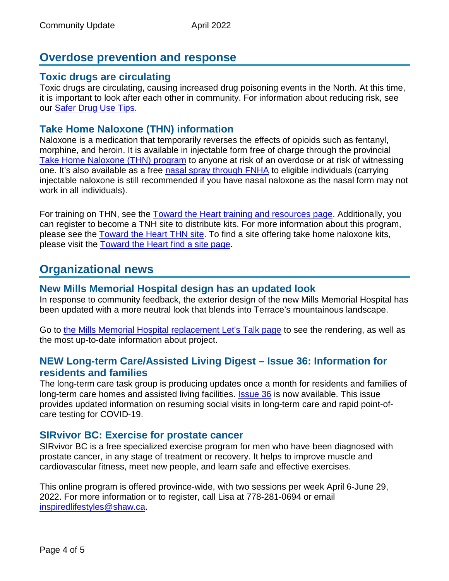## **Overdose prevention and response**

#### **Toxic drugs are circulating**

Toxic drugs are circulating, causing increased drug poisoning events in the North. At this time, it is important to look after each other in community. For information about reducing risk, see our [Safer Drug Use Tips.](https://towardtheheart.com/safer-use)

#### **Take Home Naloxone (THN) information**

<span id="page-3-0"></span>Naloxone is a medication that temporarily reverses the effects of opioids such as fentanyl, morphine, and heroin. It is available in injectable form free of charge through the provincial [Take Home Naloxone \(THN\) program](https://towardtheheart.com/naloxone) to anyone at risk of an overdose or at risk of witnessing one. It's also available as a free [nasal spray through FNHA](https://www.fnha.ca/Documents/FNHA-Nasal-Naloxone-Fact-Sheet.pdf) to eligible individuals (carrying injectable naloxone is still recommended if you have nasal naloxone as the nasal form may not work in all individuals).

For training on THN, see the [Toward the Heart training and resources page.](https://towardtheheart.com/naloxone-training) Additionally, you can register to become a TNH site to distribute kits. For more information about this program, please see the [Toward the Heart THN site.](https://towardtheheart.com/naloxone) To find a site offering take home naloxone kits, please visit the [Toward the Heart find a site page.](https://towardtheheart.com/site-finder)

## **Organizational news**

#### **New Mills Memorial Hospital design has an updated look**

In response to community feedback, the exterior design of the new Mills Memorial Hospital has been updated with a more neutral look that blends into Terrace's mountainous landscape.

Go to [the Mills Memorial Hospital replacement Let's Talk page](https://letstalk.northernhealth.ca/mmh) to see the rendering, as well as the most up-to-date information about project.

#### **NEW Long-term Care/Assisted Living Digest – Issue 36: Information for residents and families**

The long-term care task group is producing updates once a month for residents and families of long-term care homes and assisted living facilities. **[Issue 36](https://www.northernhealth.ca/sites/northern_health/files/services/home-community-care/documents/long-term-care-assisted-living-digest-36.pdf)** is now available. This issue provides updated information on resuming social visits in long-term care and rapid point-ofcare testing for COVID-19.

#### **SIRvivor BC: Exercise for prostate cancer**

SIRvivor BC is a free specialized exercise program for men who have been diagnosed with prostate cancer, in any stage of treatment or recovery. It helps to improve muscle and cardiovascular fitness, meet new people, and learn safe and effective exercises.

This online program is offered province-wide, with two sessions per week April 6-June 29, 2022. For more information or to register, call Lisa at 778-281-0694 or email [inspiredlifestyles@shaw.ca.](mailto:inspiredlifestyles@shaw.ca)